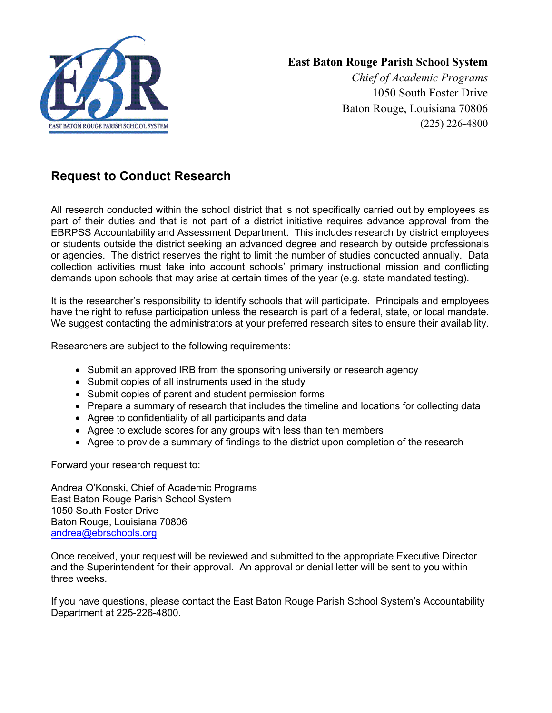

## **East Baton Rouge Parish School System**

*Chief of Academic Programs* 1050 South Foster Drive Baton Rouge, Louisiana 70806 (225) 226-4800

## **Request to Conduct Research**

All research conducted within the school district that is not specifically carried out by employees as part of their duties and that is not part of a district initiative requires advance approval from the EBRPSS Accountability and Assessment Department. This includes research by district employees or students outside the district seeking an advanced degree and research by outside professionals or agencies. The district reserves the right to limit the number of studies conducted annually. Data collection activities must take into account schools' primary instructional mission and conflicting demands upon schools that may arise at certain times of the year (e.g. state mandated testing).

It is the researcher's responsibility to identify schools that will participate. Principals and employees have the right to refuse participation unless the research is part of a federal, state, or local mandate. We suggest contacting the administrators at your preferred research sites to ensure their availability.

Researchers are subject to the following requirements:

- Submit an approved IRB from the sponsoring university or research agency
- Submit copies of all instruments used in the study
- Submit copies of parent and student permission forms
- Prepare a summary of research that includes the timeline and locations for collecting data
- Agree to confidentiality of all participants and data
- Agree to exclude scores for any groups with less than ten members
- Agree to provide a summary of findings to the district upon completion of the research

Forward your research request to:

Andrea O'Konski, Chief of Academic Programs East Baton Rouge Parish School System 1050 South Foster Drive Baton Rouge, Louisiana 70806 andrea@ebrschools.org

Once received, your request will be reviewed and submitted to the appropriate Executive Director and the Superintendent for their approval. An approval or denial letter will be sent to you within three weeks.

If you have questions, please contact the East Baton Rouge Parish School System's Accountability Department at 225-226-4800.